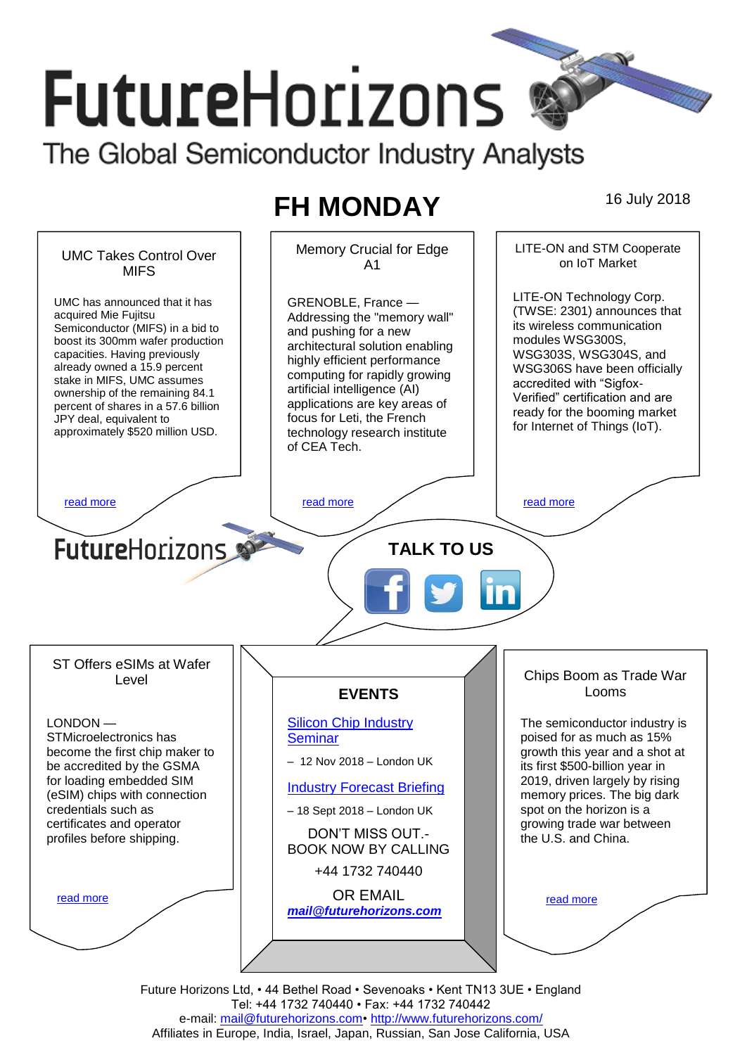# **FutureHorizons** The Global Semiconductor Industry Analysts

# **FH MONDAY** 16 July 2018



Future Horizons Ltd, • 44 Bethel Road • Sevenoaks • Kent TN13 3UE • England Tel: +44 1732 740440 • Fax: +44 1732 740442 e-mail: mail@futurehorizons.com• http://www.futurehorizons.com/ Affiliates in Europe, India, Israel, Japan, Russian, San Jose California, USA